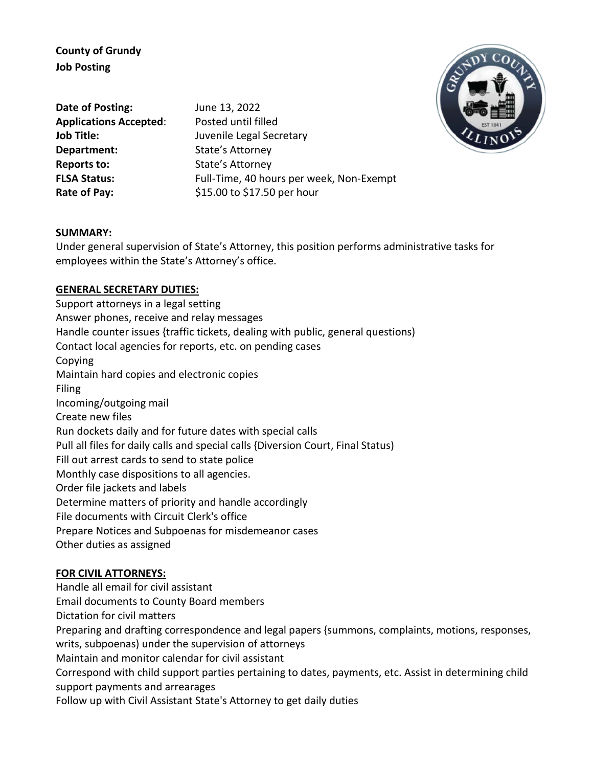**County of Grundy Job Posting**

**Date of Posting:** June 13, 2022 **Applications Accepted**: Posted until filled **Department:** State's Attorney **Reports to:** State's Attorney

**Job Title:** Juvenile Legal Secretary **FLSA Status:** Full-Time, 40 hours per week, Non-Exempt **Rate of Pay:** \$15.00 to \$17.50 per hour



#### **SUMMARY:**

Under general supervision of State's Attorney, this position performs administrative tasks for employees within the State's Attorney's office.

### **GENERAL SECRETARY DUTIES:**

Support attorneys in a legal setting Answer phones, receive and relay messages Handle counter issues {traffic tickets, dealing with public, general questions) Contact local agencies for reports, etc. on pending cases Copying Maintain hard copies and electronic copies Filing Incoming/outgoing mail Create new files Run dockets daily and for future dates with special calls Pull all files for daily calls and special calls {Diversion Court, Final Status) Fill out arrest cards to send to state police Monthly case dispositions to all agencies. Order file jackets and labels Determine matters of priority and handle accordingly File documents with Circuit Clerk's office Prepare Notices and Subpoenas for misdemeanor cases Other duties as assigned

## **FOR CIVIL ATTORNEYS:**

Handle all email for civil assistant

Email documents to County Board members

Dictation for civil matters

Preparing and drafting correspondence and legal papers {summons, complaints, motions, responses,

writs, subpoenas) under the supervision of attorneys

Maintain and monitor calendar for civil assistant

Correspond with child support parties pertaining to dates, payments, etc. Assist in determining child support payments and arrearages

Follow up with Civil Assistant State's Attorney to get daily duties